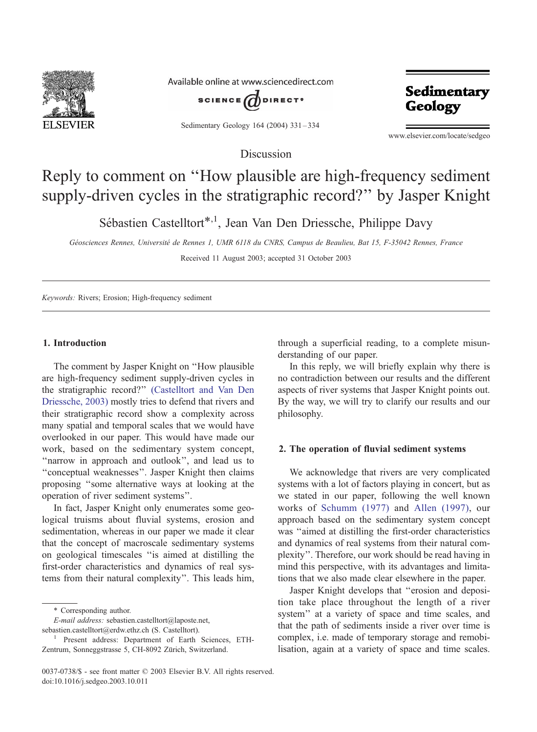

Available online at www.sciencedirect.com



Sedimentary Geology 164 (2004) 331 – 334

Sedimentary **Geology** 

www.elsevier.com/locate/sedgeo

# Discussion

# Reply to comment on ''How plausible are high-frequency sediment supply-driven cycles in the stratigraphic record?'' by Jasper Knight

Sébastien Castelltort<sup>\*,1</sup>, Jean Van Den Driessche, Philippe Davy

Géosciences Rennes, Université de Rennes 1, UMR 6118 du CNRS, Campus de Beaulieu, Bat 15, F-35042 Rennes, France Received 11 August 2003; accepted 31 October 2003

Keywords: Rivers; Erosion; High-frequency sediment

## 1. Introduction

The comment by Jasper Knight on ''How plausible are high-frequency sediment supply-driven cycles in the stratigraphic record?'' [\(Castelltort and Van Den](#page-3-0) Driessche, 2003) mostly tries to defend that rivers and their stratigraphic record show a complexity across many spatial and temporal scales that we would have overlooked in our paper. This would have made our work, based on the sedimentary system concept, "narrow in approach and outlook", and lead us to ''conceptual weaknesses''. Jasper Knight then claims proposing ''some alternative ways at looking at the operation of river sediment systems''.

In fact, Jasper Knight only enumerates some geological truisms about fluvial systems, erosion and sedimentation, whereas in our paper we made it clear that the concept of macroscale sedimentary systems on geological timescales ''is aimed at distilling the first-order characteristics and dynamics of real systems from their natural complexity''. This leads him,

through a superficial reading, to a complete misunderstanding of our paper.

In this reply, we will briefly explain why there is no contradiction between our results and the different aspects of river systems that Jasper Knight points out. By the way, we will try to clarify our results and our philosophy.

#### 2. The operation of fluvial sediment systems

We acknowledge that rivers are very complicated systems with a lot of factors playing in concert, but as we stated in our paper, following the well known works of [Schumm \(1977\)](#page-3-0) and [Allen \(1997\),](#page-3-0) our approach based on the sedimentary system concept was ''aimed at distilling the first-order characteristics and dynamics of real systems from their natural complexity''. Therefore, our work should be read having in mind this perspective, with its advantages and limitations that we also made clear elsewhere in the paper.

Jasper Knight develops that ''erosion and deposition take place throughout the length of a river system'' at a variety of space and time scales, and that the path of sediments inside a river over time is complex, i.e. made of temporary storage and remobilisation, again at a variety of space and time scales.

<sup>\*</sup> Corresponding author.

E-mail address: sebastien.castelltort@laposte.net,

sebastien.castelltort@erdw.ethz.ch (S. Castelltort).<br><sup>1</sup> Present address: Department of Earth Sciences, ETH-Zentrum, Sonneggstrasse 5, CH-8092 Zürich, Switzerland.

<sup>0037-0738/\$ -</sup> see front matter © 2003 Elsevier B.V. All rights reserved. doi:10.1016/j.sedgeo.2003.10.011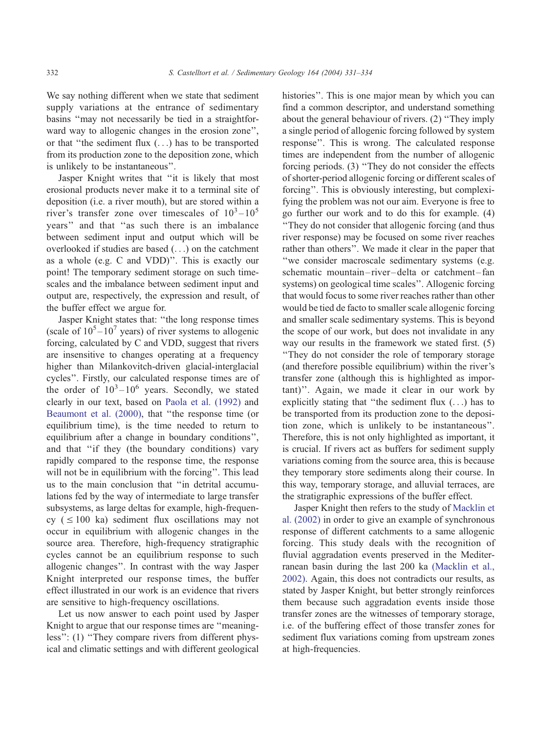We say nothing different when we state that sediment supply variations at the entrance of sedimentary basins ''may not necessarily be tied in a straightforward way to allogenic changes in the erosion zone'', or that ''the sediment flux (...) has to be transported from its production zone to the deposition zone, which is unlikely to be instantaneous''.

Jasper Knight writes that ''it is likely that most erosional products never make it to a terminal site of deposition (i.e. a river mouth), but are stored within a river's transfer zone over timescales of  $10^3 - 10^5$ years'' and that ''as such there is an imbalance between sediment input and output which will be overlooked if studies are based (...) on the catchment as a whole (e.g. C and VDD)''. This is exactly our point! The temporary sediment storage on such timescales and the imbalance between sediment input and output are, respectively, the expression and result, of the buffer effect we argue for.

Jasper Knight states that: ''the long response times (scale of  $10^5 - 10^7$  years) of river systems to allogenic forcing, calculated by C and VDD, suggest that rivers are insensitive to changes operating at a frequency higher than Milankovitch-driven glacial-interglacial cycles''. Firstly, our calculated response times are of the order of  $10^3 - 10^6$  years. Secondly, we stated clearly in our text, based on [Paola et al. \(1992\)](#page-3-0) and [Beaumont et al. \(2000\),](#page-3-0) that ''the response time (or equilibrium time), is the time needed to return to equilibrium after a change in boundary conditions'', and that ''if they (the boundary conditions) vary rapidly compared to the response time, the response will not be in equilibrium with the forcing". This lead us to the main conclusion that ''in detrital accumulations fed by the way of intermediate to large transfer subsystems, as large deltas for example, high-frequency ( $\leq 100$  ka) sediment flux oscillations may not occur in equilibrium with allogenic changes in the source area. Therefore, high-frequency stratigraphic cycles cannot be an equilibrium response to such allogenic changes''. In contrast with the way Jasper Knight interpreted our response times, the buffer effect illustrated in our work is an evidence that rivers are sensitive to high-frequency oscillations.

Let us now answer to each point used by Jasper Knight to argue that our response times are ''meaningless'': (1) ''They compare rivers from different physical and climatic settings and with different geological histories''. This is one major mean by which you can find a common descriptor, and understand something about the general behaviour of rivers. (2) ''They imply a single period of allogenic forcing followed by system response''. This is wrong. The calculated response times are independent from the number of allogenic forcing periods. (3) ''They do not consider the effects of shorter-period allogenic forcing or different scales of forcing''. This is obviously interesting, but complexifying the problem was not our aim. Everyone is free to go further our work and to do this for example. (4) ''They do not consider that allogenic forcing (and thus river response) may be focused on some river reaches rather than others''. We made it clear in the paper that ''we consider macroscale sedimentary systems (e.g. schematic mountain-river-delta or catchment-fan systems) on geological time scales''. Allogenic forcing that would focus to some river reaches rather than other would be tied de facto to smaller scale allogenic forcing and smaller scale sedimentary systems. This is beyond the scope of our work, but does not invalidate in any way our results in the framework we stated first. (5) ''They do not consider the role of temporary storage (and therefore possible equilibrium) within the river's transfer zone (although this is highlighted as important)''. Again, we made it clear in our work by explicitly stating that "the sediment flux  $(\ldots)$  has to be transported from its production zone to the deposition zone, which is unlikely to be instantaneous''. Therefore, this is not only highlighted as important, it is crucial. If rivers act as buffers for sediment supply variations coming from the source area, this is because they temporary store sediments along their course. In this way, temporary storage, and alluvial terraces, are the stratigraphic expressions of the buffer effect.

Jasper Knight then refers to the study of [Macklin et](#page-3-0) al. (2002) in order to give an example of synchronous response of different catchments to a same allogenic forcing. This study deals with the recognition of fluvial aggradation events preserved in the Mediterranean basin during the last 200 ka [\(Macklin et al.,](#page-3-0) 2002). Again, this does not contradicts our results, as stated by Jasper Knight, but better strongly reinforces them because such aggradation events inside those transfer zones are the witnesses of temporary storage, i.e. of the buffering effect of those transfer zones for sediment flux variations coming from upstream zones at high-frequencies.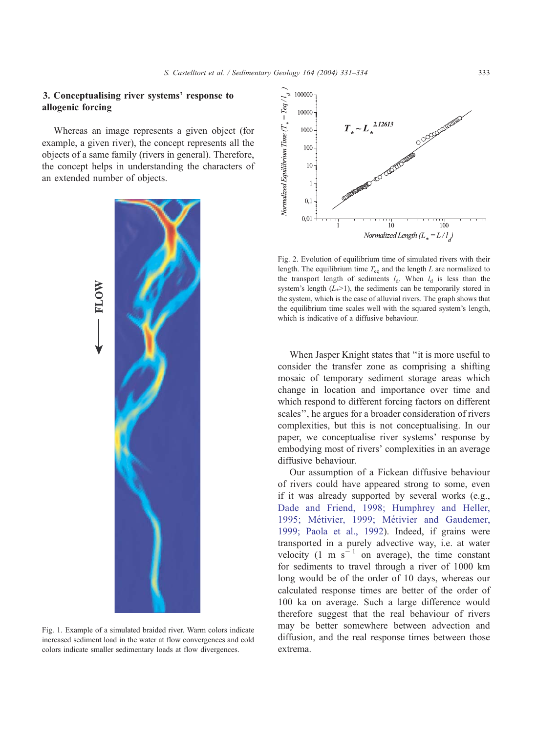# <span id="page-2-0"></span>3. Conceptualising river systems' response to allogenic forcing

Whereas an image represents a given object (for example, a given river), the concept represents all the objects of a same family (rivers in general). Therefore, the concept helps in understanding the characters of an extended number of objects.



Fig. 1. Example of a simulated braided river. Warm colors indicate increased sediment load in the water at flow convergences and cold colors indicate smaller sedimentary loads at flow divergences.



Fig. 2. Evolution of equilibrium time of simulated rivers with their length. The equilibrium time  $T_{eq}$  and the length L are normalized to the transport length of sediments  $l_d$ . When  $l_d$  is less than the system's length  $(L*)$ , the sediments can be temporarily stored in the system, which is the case of alluvial rivers. The graph shows that the equilibrium time scales well with the squared system's length, which is indicative of a diffusive behaviour.

When Jasper Knight states that ''it is more useful to consider the transfer zone as comprising a shifting mosaic of temporary sediment storage areas which change in location and importance over time and which respond to different forcing factors on different scales'', he argues for a broader consideration of rivers complexities, but this is not conceptualising. In our paper, we conceptualise river systems' response by embodying most of rivers' complexities in an average diffusive behaviour.

Our assumption of a Fickean diffusive behaviour of rivers could have appeared strong to some, even if it was already supported by several works (e.g., [Dade and Friend, 1998; Humphrey and Heller,](#page-3-0) 1995; Métivier, 1999; Métivier and Gaudemer, 1999; Paola et al., 1992). Indeed, if grains were transported in a purely advective way, i.e. at water velocity  $(1 \text{ m s}^{-1} \text{ on average})$ , the time constant for sediments to travel through a river of 1000 km long would be of the order of 10 days, whereas our calculated response times are better of the order of 100 ka on average. Such a large difference would therefore suggest that the real behaviour of rivers may be better somewhere between advection and diffusion, and the real response times between those extrema.